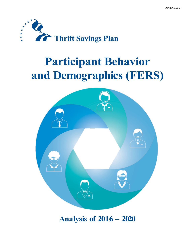

# **Participant Behavior and Demographics (FERS)**



## **Analysis of 2016 – 2020**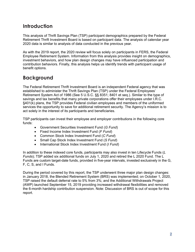## **Introduction**

This analysis of Thrift Savings Plan (TSP) participant demographics prepared by the Federal Retirement Thrift Investment Board is based on participant data. The analysis of calendar year 2020 data is similar to analysis of data conducted in the previous year.

As with the 2019 report, the 2020 review will focus solely on participants in FERS, the Federal Employee Retirement System. Information from this analysis provides insight on demographics, investment behaviors, and how plan design changes may have influenced participation and contribution behaviors. Finally, this analysis helps us identify trends with participant usage of benefit options.

## **Background**

The Federal Retirement Thrift Investment Board is an independent Federal agency that was established to administer the Thrift Savings Plan (TSP) under the Federal Employees' Retirement System Act of 1986 (See 5 U.S.C. §§ 8351; 8401 et seq.). Similar to the type of savings and tax benefits that many private corporations offer their employees under I.R.C. §401(k) plans, the TSP provides Federal civilian employees and members of the uniformed services the opportunity to save for additional retirement security. The Agency's mission is to act solely in the interest of its participants and beneficiaries.

TSP participants can invest their employee and employer contributions in the following core funds:

- Government Securities Investment Fund (*G Fund*)
- Fixed Income Index Investment Fund (*F Fund*)
- Common Stock Index Investment Fund (*C Fund*)
- Small Cap Stock Index Investment Fund (*S Fund*)
- International Stock Index Investment Fund (*I Fund*)

In addition to these indexed core funds, participants may also invest in ten Lifecycle Funds (*L Funds*); TSP added six additional funds on July 1, 2020 and retired the L 2020 Fund. The L Funds are custom target-date funds, provided in five-year intervals, invested exclusively in the G, F, C, S, and I Funds.

During the period covered by this report, the TSP underwent three major plan design changes: in January 2018, the Blended Retirement System (BRS) was implemented; on October 1, 2020, TSP raised the default deferral rate to 5% from 3%; and the Additional Withdrawals Project (AWP) launched September 15, 2019 providing increased withdrawal flexibilities and removed the 6-month hardship contribution suspension. Note: Discussion of BRS is out of scope for this report.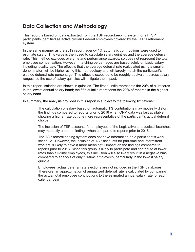## **Data Collection and Methodology**

This report is based on data extracted from the TSP recordkeeping system for all TSP participants identified as active civilian Federal employees covered by the FERS retirement system.

In the same manner as the 2019 report, agency 1% automatic contributions were used to estimate salary. This value is then used to calculate salary quintiles and the average deferral rate. This method excludes overtime and performance awards, so does not represent the total employee compensation. However, matching percentages are based solely on basic salary including locality pay. The effect is that the average deferral rate (calculated using a smaller denominator) will be higher using this methodology and will largely match the participant's elected deferral rate percentage. This effect is expected to be roughly equivalent across salary ranges, so the use of salary quintiles will mitigate the impact.

In this report, salaries are shown in quintiles. The first quintile represents the 20% of all records in the lowest annual salary band; the fifth quintile represents the 20% of records in the highest salary band.

In summary, the analysis provided in this report is subject to the following limitations:

The calculation of salary based on automatic 1% contributions may modestly distort the findings compared to reports prior to 2016 when OPM data was last available, showing a higher rate but one more representative of the participant's actual deferral choice.

The inclusion of TSP accounts for employees of the Legislative and Judicial branches may modestly alter the findings when compared to reports prior to 2016.

The TSP recordkeeping system does not have information on a participant's work schedule. However, the inclusion of TSP accounts for part-time and intermittent workers is likely to have a more meaningful impact on the findings compares to reports prior to 2016. Since this group is likely to participate and contribute at lower rates than full-time employees, this inclusion will also likely result in a negative bias compared to analysis of only full-time employees, particularly in the lowest salary quintile.

Employees' actual deferral rate elections are not included in the TSP databases. Therefore, an approximation of annualized deferral rate is calculated by comparing the actual total employee contributions to the estimated annual salary rate for each calendar year.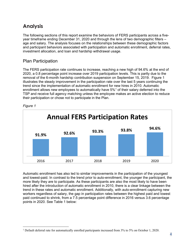## **Analysis**

The following sections of this report examine the behaviors of FERS participants across a fiveyear timeframe ending December 31, 2020 and through the lens of two demographic filters – age and salary. The analysis focuses on the relationships between these demographic factors and participant behaviors associated with participation and automatic enrollment, deferral rates, investment allocation, and loan and hardship withdrawal usage.

## Plan Participation

The FERS participation rate continues to increase, reaching a new high of 94.6% at the end of 2020, a 0.8 percentage point increase over 2019 participation levels. This is partly due to the removal of the 6-month hardship contribution suspension on September 15, 2019. Figure 1 illustrates the steady improvement in the participation rate over the last 5 years continuing the trend since the implementation of automatic enrollment for new hires in 2010. Automatic enrollment allows new employees to automatically have 5%<sup>[1](#page-3-0)</sup> of their salary deferred into the TSP and receive full agency matching unless the employee makes an active election to reduce their participation or chose not to participate in the Plan.



#### *Figure 1*

Automatic enrollment has also led to similar improvements in the participation of the youngest and lowest-paid. In contrast to the trend prior to auto-enrollment, the younger the participant, the more likely they are to participate. As these participants are also the most likely to have been hired after the introduction of automatic enrollment in 2010, there is a clear linkage between the trend in these rates and automatic enrollment. Additionally, with auto-enrollment capturing new workers regardless of salary, the gap in participation rates between the highest paid and lowest paid continued to shrink, from a 7.5 percentage point difference in 2016 versus 3.6 percentage points in 2020. See Table 1 below:

<span id="page-3-0"></span><sup>&</sup>lt;sup>1</sup> Default deferral rate for automatically enrolled participants increased from 3% to 5% on October 1, 2020.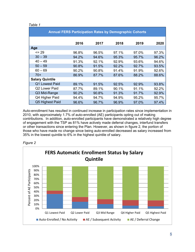#### *Table 1*

| <b>Annual FERS Participation Rates by Demographic Cohorts</b> |       |       |       |       |       |  |  |
|---------------------------------------------------------------|-------|-------|-------|-------|-------|--|--|
|                                                               | 2016  | 2017  | 2018  | 2019  | 2020  |  |  |
| Age                                                           |       |       |       |       |       |  |  |
| $= 29$                                                        | 96.8% | 96.5% | 97.1% | 97.0% | 97.3% |  |  |
| $30 - 39$                                                     | 94.2% | 94.6% | 95.3% | 95.7% | 96.2% |  |  |
| $40 - 49$                                                     | 91.3% | 92.1% | 92.9% | 93.6% | 94.6% |  |  |
| $50 - 59$                                                     | 90.8% | 91.5% | 92.2% | 92.7% | 93.5% |  |  |
| $60 - 69$                                                     | 90.2% | 90.8% | 91.4% | 91.9% | 92.6% |  |  |
| $70+$                                                         | 86.9% | 87.7% | 87.6% | 88.2% | 88.6% |  |  |
| <b>Salary Quintile</b>                                        |       |       |       |       |       |  |  |
| Q1 Lowest Paid                                                | 89.1% | 91.5% | 92.5% | 92.9% | 93.8% |  |  |
| Q2 Lower Paid                                                 | 87.7% | 89.1% | 90.1% | 91.1% | 92.2% |  |  |
| Q3 Mid-Range                                                  | 90.2% | 90.8% | 91.3% | 91.7% | 92.9% |  |  |
| Q4 Higher Paid                                                | 94.4% | 94.7% | 94.9% | 95.2% | 95.7% |  |  |
| Q5 Highest Paid                                               | 96.6% | 96.7% | 96.9% | 97.0% | 97.4% |  |  |

Auto-enrollment has resulted in continued increase in participation rates since implementation in 2010, with approximately 1.7% of auto-enrolled (AE) participants opting out of making contributions. In addition, auto-enrolled participants have demonstrated a relatively high degree of engagement with the TSP as 81% have actively made deferral changes, interfund transfers or other transactions since entering the Plan. However, as shown in figure 2, the portion of those who have made no change since being auto-enrolled decreased as salary increased from 35% in the lowest quintile to 6% in the highest quintile of salary.



*Figure 2*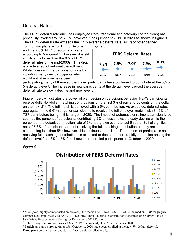## Deferral Rates

The FERS deferral rate (includes employee Roth, traditional and catch-up contributions) has previously leveled around 7.9%; however, it has jumped to 8.1% in 2020 as shown in figure 3. The FERS deferral rate exceeds the 7.1% average deferral rate (ADP) of other defined

contribution plans according to Deloitte[2](#page-5-0) and the 7.0% ADP for automatic plans according to Vanguard[3](#page-5-1). However, it is still significantly lower than the 9.5% FERS deferral rates of the mid-2000s. This drop is a side effect of automatic enrollment. While increasing the participation rate by including many new participants who would not otherwise have been



participating, many of these auto-enrolled participants have continued to contribute at the 3% or 5% default level[4](#page-5-2). The increase in new participants at the default level caused the average deferral rate to slowly decline and now level off*.* 

Figure 4 below illustrates the power of plan design on participant behavior. FERS participants receive dollar-for-dollar matching contributions on the first 3% of pay and 50 cents on the dollar on the next 2%. The full match is achieved with a 5% contribution. As expected, deferral rates aggregate in the 5-6% range for participants to receive the full employer match, with 31.6% of TSP contributors being in this range in 2020. The impact of automatic enrollment can clearly be seen as the percent of participants contributing 2% or less shows a steady decline while the percent at the default contribution rate of 3% has grown over the last 5 years. Still of significant note, 26.5% of participants are not receiving the full matching contribution as they are contributing less than 5%; however, this continues to decline. The percent of participants not receiving full matching contributions is expected to decrease more rapidly due to increasing the default level from 3% to 5% for all new auto-enrolled participants on October 1, 2020.



*Figure 4*

<span id="page-5-0"></span><sup>2</sup> "For [Non-highly compensated employees], the median ADP was  $6.2\%$  . . ., while the median ADP for [highly compensated employees was 7.8%. . . ." Deloitte, Annual Defined Contribution Benchmarking Survey – Ease of Use Drives Engagement in Saving for Retirement, 2019 Edition.

<span id="page-5-1"></span><sup>&</sup>lt;sup>3</sup> "The average deferral rate was 7.0% in 2019." Vanguard, How America Saves 2020.

<span id="page-5-2"></span><sup>4</sup> Participants auto-enrolled on or after October 1, 2020 have been enrolled at the new 5% default deferral. Participants enrolled prior to October 1<sup>st</sup> were auto-enrolled at 3%.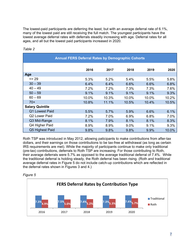The lowest-paid participants are deferring the least, but with an average deferral rate of 6.1%, many of the lowest paid are still receiving the full match. The youngest participants have the lowest average deferral rates with deferrals steadily increasing with age. Deferral rates for all ages, and all but the lowest paid participants increased in 2020.

| <b>Annual FERS Deferral Rates by Demographic Cohorts</b> |       |       |       |       |       |  |  |
|----------------------------------------------------------|-------|-------|-------|-------|-------|--|--|
|                                                          | 2016  | 2017  | 2018  | 2019  | 2020  |  |  |
| Age                                                      |       |       |       |       |       |  |  |
| $= 29$                                                   | 5.3%  | 5.2%  | 5.4%  | 5.5%  | 5.8%  |  |  |
| $30 - 39$                                                | 6.4%  | 6.4%  | 6.6%  | 6.6%  | 6.8%  |  |  |
| $40 - 49$                                                | 7.2%  | 7.2%  | 7.3%  | 7.3%  | 7.6%  |  |  |
| $50 - 59$                                                | 9.1%  | 9.1%  | 9.1%  | 9.1%  | 9.3%  |  |  |
| $60 - 69$                                                | 10.0% | 10.3% | 10.0% | 10.0% | 10.2% |  |  |
| $70+$                                                    | 10.8% | 11.1% | 10.5% | 10.4% | 10.5% |  |  |
| <b>Salary Quintile</b>                                   |       |       |       |       |       |  |  |
| Q1 Lowest Paid                                           | 5.5%  | 5.7%  | 5.9%  | 6.6%  | 6.1%  |  |  |
| Q2 Lower Paid                                            | 7.2%  | 7.0%  | 6.9%  | 6.8%  | 7.0%  |  |  |
| Q3 Mid-Range                                             | 8.1%  | 7.9%  | 8.1%  | 8.1%  | 8.3%  |  |  |
| Q4 Higher Paid                                           | 8.9%  | 8.9%  | 9.0%  | 9.1%  | 9.3%  |  |  |
| Q5 Highest Paid                                          | 9.8%  | 9.8%  | 9.8%  | 9.9%  | 10.0% |  |  |

#### *Table 2*

Roth TSP was introduced in May 2012, allowing paticipants to make contributions from after-tax dollars, and their earnings on those contributions to be tax-free at withdrawal (as long as certain IRS requirements are met). While the majority of participants continue to make only traditional (pre-tax) contributions, deferrals to Roth TSP are increasing. For those contributing to Roth, their average deferrals were 5.7% as opposed to the average traditional deferral of 7.4%. While the traditional deferral is holding steady, the Roth deferral has been rising. (Roth and traditional average deferral rates in Figure 5 do not include catch-up contributions which are reflected in the deferral rates shown in Figures 3 and 4.)



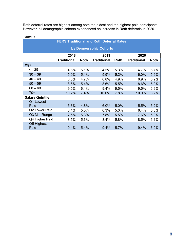Roth deferral rates are highest among both the oldest and the highest-paid participants. However, all demographic cohorts experienced an increase in Roth deferrals in 2020.

| i abie s               |                      |      | <b>FERS Traditional and Roth Deferral Rates</b> |      |                    |      |  |
|------------------------|----------------------|------|-------------------------------------------------|------|--------------------|------|--|
| by Demographic Cohorts |                      |      |                                                 |      |                    |      |  |
|                        | 2019<br>2020<br>2018 |      |                                                 |      |                    |      |  |
|                        | <b>Traditional</b>   | Roth | <b>Traditional</b>                              | Roth | <b>Traditional</b> | Roth |  |
| Age                    |                      |      |                                                 |      |                    |      |  |
| $= 29$                 | 4.6%                 | 5.1% | 4.5%                                            | 5.3% | 4.7%               | 5.7% |  |
| $30 - 39$              | 5.9%                 | 5.1% | 5.9%                                            | 5.2% | 6.0%               | 5.6% |  |
| $40 - 49$              | 6.8%                 | 4.7% | 6.8%                                            | 4.9% | 6.9%               | 5.2% |  |
| $50 - 59$              | 8.6%                 | 5.4% | 8.6%                                            | 5.5% | 8.6%               | 5.9% |  |
| $60 - 69$              | 9.5%                 | 6.4% | 9.4%                                            | 6.5% | 9.5%               | 6.9% |  |
| $70+$                  | 10.2%                | 7.4% | 10.0%                                           | 7.8% | 10.0%              | 8.2% |  |
| <b>Salary Quintile</b> |                      |      |                                                 |      |                    |      |  |
| Q1 Lowest              |                      |      |                                                 |      |                    |      |  |
| Paid                   | 5.3%                 | 4.8% | 6.0%                                            | 5.0% | 5.5%               | 5.2% |  |
| Q2 Lower Paid          | 6.4%                 | 5.0% | 6.3%                                            | 5.0% | 6.4%               | 5.3% |  |
| Q3 Mid-Range           | 7.5%                 | 5.3% | 7.5%                                            | 5.5% | 7.6%               | 5.9% |  |
| Q4 Higher Paid         | 8.5%                 | 5.6% | 8.4%                                            | 5.8% | 8.5%               | 6.1% |  |
| Q5 Highest<br>Paid     | 9.4%                 | 5.4% | 9.4%                                            | 5.7% | 9.4%               | 6.0% |  |

#### *Table 3*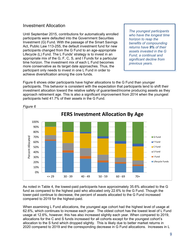### Investment Allocation

Until September 2015, contributions for automatically enrolled participants were defaulted into the Government Securities Investment (G) Fund. With the passage of the Smart Savings Act, Public Law 113-255, the default investment fund for new participants changed from the G Fund to an age-appropriate Lifecycle (L) Fund. The L Funds' strategy is to invest in an appropriate mix of the G, F, C, S, and I Funds for a particular time horizon. The investment mix of each L Fund becomes more conservative as its target date approaches. Thus, the participant only needs to invest in one L Fund in order to achieve diversification among the core funds.

*The youngest participants who have the longest time horizon to reap the benefits of compounding returns have 9% of their assets invested in the G Fund, a continual and significant decline from previous years.*

Figure 6 shows older participants have higher allocations to the G Fund than younger participants. This behavior is consistent with the expectation that participants tend to shift their investment allocation toward the relative safety of guaranteed/income producing assets as they approach retirement age. This is also a significant improvement from 2014 when the youngest participants held 41.7% of their assets in the G Fund.



*Figure 6*

As noted in Table 4, the lowest-paid participants have approximately 35.6% allocated to the G fund as compared to the highest paid who allocated only 22.6% to the G Fund. Though the lower-paid continue to decrease, the percent of assets allocated to the G Fund increased compared to 2019 for the highest-paid.

When examining L Fund allocations, the youngest age cohort had the highest level of usage at 62.6%, which continues to increase each year. The oldest cohort has the lowest level of L Fund usage at 12.6%, however, this has also increased slightly each year. When compared to 2019, allocations for the C and S funds increased for all cohorts except for the youngest cohort's allocation to the S fund which dropped slightly. This is likely due to better market returns in 2020 compared to 2019 and the corresponding decrease in G Fund allocations. Increases in L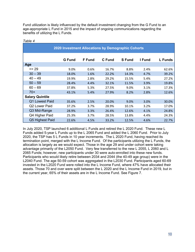Fund utilization is likely influenced by the default investment changing from the G Fund to an age-appropriate L Fund in 2015 and the impact of ongoing communications regarding the benefits of utilizing the L Funds.

| 2020 Investment Allocations by Demographic Cohorts |               |               |        |               |        |                |  |
|----------------------------------------------------|---------------|---------------|--------|---------------|--------|----------------|--|
|                                                    | <b>G</b> Fund | <b>F</b> Fund | C Fund | <b>S</b> Fund | I Fund | <b>L</b> Funds |  |
| Age                                                |               |               |        |               |        |                |  |
| $= 29$                                             | 9.0%          | 0.6%          | 16.7%  | 8.8%          | 2.4%   | 62.6%          |  |
| $30 - 39$                                          | 18.0%         | 1.6%          | 22.2%  | 14.3%         | 4.7%   | 39.2%          |  |
| $40 - 49$                                          | 19.9%         | 2.8%          | 29.2%  | 15.5%         | 5.4%   | 27.2%          |  |
| $50 - 59$                                          | 28.4%         | 4.4%          | 32.1%  | 11.5%         | 3.9%   | 19.8%          |  |
| $60 - 69$                                          | 37.8%         | 5.3%          | 27.5%  | 9.0%          | 3.1%   | 17.3%          |  |
| $70+$                                              | 43.1%         | 5.4%          | 27.9%  | 8.2%          | 2.8%   | 12.6%          |  |
| <b>Salary Quintile</b>                             |               |               |        |               |        |                |  |
| Q1 Lowest Paid                                     | 35.6%         | 2.5%          | 20.0%  | 9.0%          | 3.0%   | 30.0%          |  |
| Q2 Lower Paid                                      | 37.2%         | 3.7%          | 28.9%  | 10.1%         | 3.2%   | 17.0%          |  |
| Q3 Mid-Range                                       | 28.9%         | 3.3%          | 26.4%  | 12.6%         | 4.1%   | 24.8%          |  |
| Q4 Higher Paid                                     | 25.3%         | 3.7%          | 28.5%  | 13.8%         | 4.4%   | 24.3%          |  |
| Q5 Highest Paid                                    | 22.6%         | 4.5%          | 33.2%  | 12.5%         | 4.6%   | 22.7%          |  |

#### *Table 4*

In July 2020, TSP launched 6 additional L Funds and retired the L 2020 Fund. These new L Funds added 5-year L Funds up to the L 2065 Fund and added the L 2060 Fund. Prior to July 2020, the TSP has 5 L Funds in 10 year increments. The L 2020 Fund, having reached its termination point, merged with the L Income Fund. Of the participants utilizing the L Funds, the allocation is largely as we would expect. Those in the age 29 and under cohort were taking advantage primarily of the L2050 Fund. Very few transferred to the new L 2055, L 2060 and L 2065 Funds; however, new participants under 30 were auto-enrolled into these new funds. Participants who would likely retire between 2034 and 2044 (the 40-49 age group) were in the L2040 Fund. The age 50-59 cohort was aggregated in the L2030 Fund. Participants aged 60-69 invested in the L2020 Fund were rolled into the L Income Fund, where 47% have allocated their assets. Those 70 and over were split between the L 2020 and the L Income Fund in 2019, but in the current year, 65% of their assets are in the L Income Fund. See Figure 7.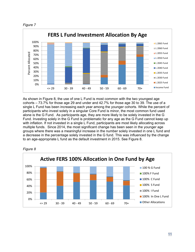



As shown in Figure 8, the use of one L Fund is most common with the two youngest age cohorts – 73.7% for those age 29 and under and 42.7% for those age 30 to 39. The use of a single L Fund has been increasing each year among the younger cohorts. While the percent of participants who invest solely in a singular Core Fund is minor, the most common fund used alone is the G Fund. As participants age, they are more likely to be solely invested in the G Fund. Investing solely in the G Fund is problematic for any age as the G Fund cannot keep up with inflation. If not invested in a single L Fund, participants are most likely allocating across multiple funds. Since 2014, the most significant change has been seen in the younger age groups where there was a meaningful increase in the number solely invested in one L fund and a decrease in the percentage solely invested in the G fund. This was influenced by the change to an age-appropriate L fund as the default investment in 2015. See Figure 8.



*Figure 8*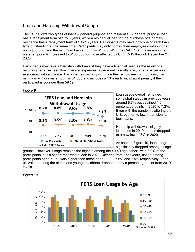## Loan and Hardship Withdrawal Usage

The TSP allows two types of loans – general purpose and residential. A general purpose loan has a repayment term of 1 to 5 years, while a residential loan for the purchase of a primary residence has a repayment term of 1 to 15 years. Participants may have only one of each loan type outstanding at the same time. Participants may only borrow their employee contributions, up to \$50,000, and the minimum loan amount is \$1,000. With the CARES Act, loan amounts were temporarily increased to \$100,000 for those affected by COVID-19 through December 31. 2020.

Participants may take a hardship withdrawal if they have a financial need as the result of a recurring negative cash flow, medical expenses, a personal casualty loss, or legal expenses associated with a divorce. Participants may only withdraw their employee contributions; the minimum withdrawal amount is \$1,000 and includes a 10% early withdrawal penalty if the participant is younger than 59 ½.



Loan usage overall remained somewhat steady in previous years around 8.7% but declined 1.5 percentage points in 2020 to 7.2%. Even with the pandemic altering the U.S. economy, fewer participants took loans.

Hardship withdrawals slightly increased in 2019 but has dropped to a new low of 3% in 2020.

As seen in Figure 10, loan usage significantly dropped among all age

groups. However, usage remains the highest among the 40-49 age cohort, with 8.9% of the participants in this cohort receiving a loan in 2020. Differing from prior years, usage among participants aged 50-59 was higher than those aged 30-39, 7.6% and 7.5% respectively. Loan utilization among the oldest and youngest cohorts dropped nearly a percentage point from 2019 levels.



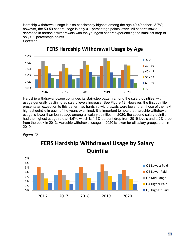Hardship withdrawal usage is also consistently highest among the age 40-49 cohort: 3.7%; however, the 50-59 cohort usage is only 0.1 percentage points lower. All cohorts saw a decrease in hardship withdrawals with the youngest cohort experiencing the smallest drop of only 0.2 percentage points.

*Figure 11*



Hardship withdrawal usage continues its stair-step pattern among the salary quintiles, with usage generally declining as salary levels increase. See Figure 12. However, the first quintile presents an exception to this pattern, as hardship withdrawals were lower than those of the next highest quintile in each of the years examined. It is important to note that hardship withdrawal usage is lower than loan usage among all salary quintiles. In 2020, the second salary quintile had the highest usage rate at 4.6%, which is 1.1% percent drop from 2019 levels and a 2% drop from the peak in 2013. Hardship withdrawal usage in 2020 is lower for all salary groups than in 2019.